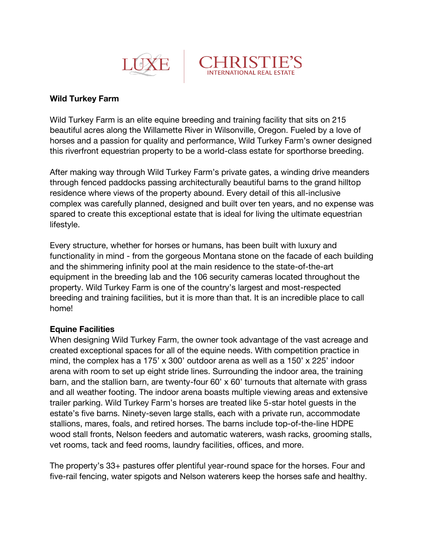



## **Wild Turkey Farm**

Wild Turkey Farm is an elite equine breeding and training facility that sits on 215 beautiful acres along the Willamette River in Wilsonville, Oregon. Fueled by a love of horses and a passion for quality and performance, Wild Turkey Farm's owner designed this riverfront equestrian property to be a world-class estate for sporthorse breeding.

After making way through Wild Turkey Farm's private gates, a winding drive meanders through fenced paddocks passing architecturally beautiful barns to the grand hilltop residence where views of the property abound. Every detail of this all-inclusive complex was carefully planned, designed and built over ten years, and no expense was spared to create this exceptional estate that is ideal for living the ultimate equestrian lifestyle.

Every structure, whether for horses or humans, has been built with luxury and functionality in mind - from the gorgeous Montana stone on the facade of each building and the shimmering infinity pool at the main residence to the state-of-the-art equipment in the breeding lab and the 106 security cameras located throughout the property. Wild Turkey Farm is one of the country's largest and most-respected breeding and training facilities, but it is more than that. It is an incredible place to call home!

## **Equine Facilities**

When designing Wild Turkey Farm, the owner took advantage of the vast acreage and created exceptional spaces for all of the equine needs. With competition practice in mind, the complex has a 175' x 300' outdoor arena as well as a 150' x 225' indoor arena with room to set up eight stride lines. Surrounding the indoor area, the training barn, and the stallion barn, are twenty-four 60' x 60' turnouts that alternate with grass and all weather footing. The indoor arena boasts multiple viewing areas and extensive trailer parking. Wild Turkey Farm's horses are treated like 5-star hotel guests in the estate's five barns. Ninety-seven large stalls, each with a private run, accommodate stallions, mares, foals, and retired horses. The barns include top-of-the-line HDPE wood stall fronts, Nelson feeders and automatic waterers, wash racks, grooming stalls, vet rooms, tack and feed rooms, laundry facilities, offices, and more.

The property's 33+ pastures offer plentiful year-round space for the horses. Four and five-rail fencing, water spigots and Nelson waterers keep the horses safe and healthy.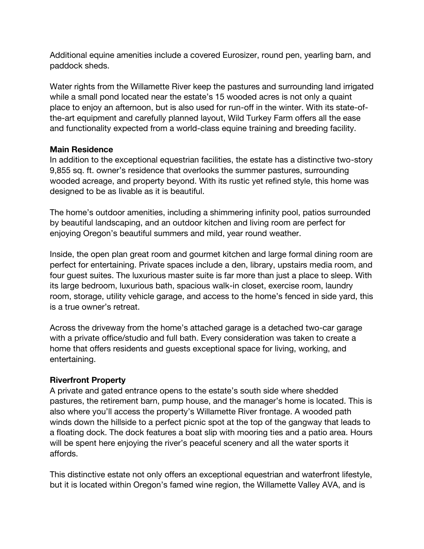Additional equine amenities include a covered Eurosizer, round pen, yearling barn, and paddock sheds.

Water rights from the Willamette River keep the pastures and surrounding land irrigated while a small pond located near the estate's 15 wooded acres is not only a quaint place to enjoy an afternoon, but is also used for run-off in the winter. With its state-ofthe-art equipment and carefully planned layout, Wild Turkey Farm offers all the ease and functionality expected from a world-class equine training and breeding facility.

## **Main Residence**

In addition to the exceptional equestrian facilities, the estate has a distinctive two-story 9,855 sq. ft. owner's residence that overlooks the summer pastures, surrounding wooded acreage, and property beyond. With its rustic yet refined style, this home was designed to be as livable as it is beautiful.

The home's outdoor amenities, including a shimmering infinity pool, patios surrounded by beautiful landscaping, and an outdoor kitchen and living room are perfect for enjoying Oregon's beautiful summers and mild, year round weather.

Inside, the open plan great room and gourmet kitchen and large formal dining room are perfect for entertaining. Private spaces include a den, library, upstairs media room, and four guest suites. The luxurious master suite is far more than just a place to sleep. With its large bedroom, luxurious bath, spacious walk-in closet, exercise room, laundry room, storage, utility vehicle garage, and access to the home's fenced in side yard, this is a true owner's retreat.

Across the driveway from the home's attached garage is a detached two-car garage with a private office/studio and full bath. Every consideration was taken to create a home that offers residents and guests exceptional space for living, working, and entertaining.

## **Riverfront Property**

A private and gated entrance opens to the estate's south side where shedded pastures, the retirement barn, pump house, and the manager's home is located. This is also where you'll access the property's Willamette River frontage. A wooded path winds down the hillside to a perfect picnic spot at the top of the gangway that leads to a floating dock. The dock features a boat slip with mooring ties and a patio area. Hours will be spent here enjoying the river's peaceful scenery and all the water sports it affords.

This distinctive estate not only offers an exceptional equestrian and waterfront lifestyle, but it is located within Oregon's famed wine region, the Willamette Valley AVA, and is